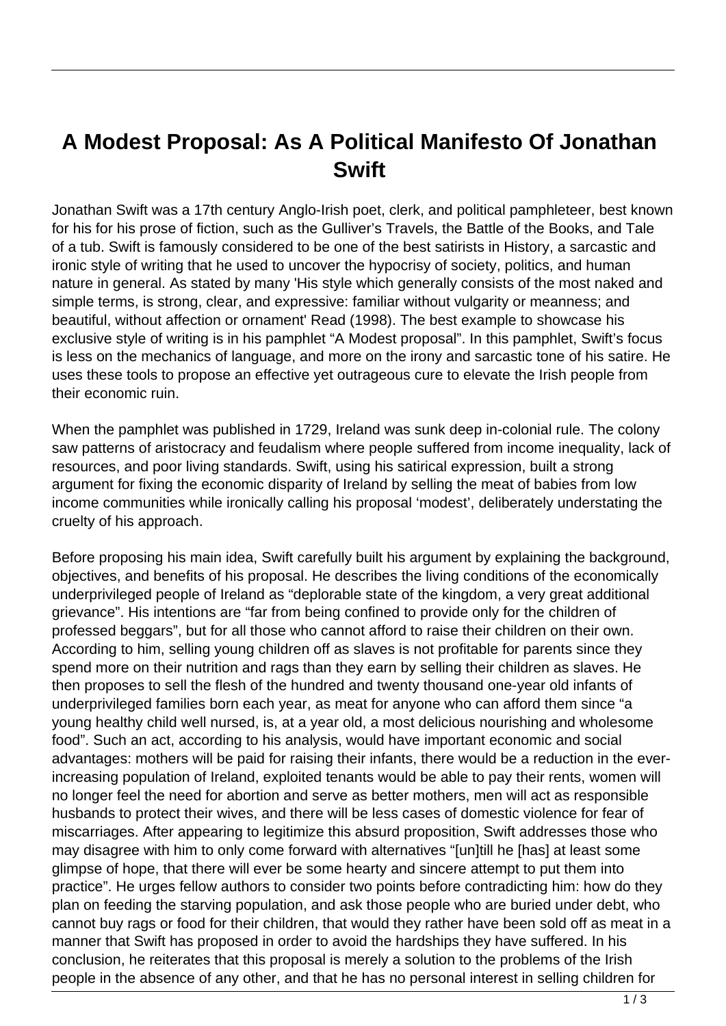## **A Modest Proposal: As A Political Manifesto Of Jonathan Swift**

Jonathan Swift was a 17th century Anglo-Irish poet, clerk, and political pamphleteer, best known for his for his prose of fiction, such as the Gulliver's Travels, the Battle of the Books, and Tale of a tub. Swift is famously considered to be one of the best satirists in History, a sarcastic and ironic style of writing that he used to uncover the hypocrisy of society, politics, and human nature in general. As stated by many 'His style which generally consists of the most naked and simple terms, is strong, clear, and expressive: familiar without vulgarity or meanness; and beautiful, without affection or ornament' Read (1998). The best example to showcase his exclusive style of writing is in his pamphlet "A Modest proposal". In this pamphlet, Swift's focus is less on the mechanics of language, and more on the irony and sarcastic tone of his satire. He uses these tools to propose an effective yet outrageous cure to elevate the Irish people from their economic ruin.

When the pamphlet was published in 1729, Ireland was sunk deep in-colonial rule. The colony saw patterns of aristocracy and feudalism where people suffered from income inequality, lack of resources, and poor living standards. Swift, using his satirical expression, built a strong argument for fixing the economic disparity of Ireland by selling the meat of babies from low income communities while ironically calling his proposal 'modest', deliberately understating the cruelty of his approach.

Before proposing his main idea, Swift carefully built his argument by explaining the background, objectives, and benefits of his proposal. He describes the living conditions of the economically underprivileged people of Ireland as "deplorable state of the kingdom, a very great additional grievance". His intentions are "far from being confined to provide only for the children of professed beggars", but for all those who cannot afford to raise their children on their own. According to him, selling young children off as slaves is not profitable for parents since they spend more on their nutrition and rags than they earn by selling their children as slaves. He then proposes to sell the flesh of the hundred and twenty thousand one-year old infants of underprivileged families born each year, as meat for anyone who can afford them since "a young healthy child well nursed, is, at a year old, a most delicious nourishing and wholesome food". Such an act, according to his analysis, would have important economic and social advantages: mothers will be paid for raising their infants, there would be a reduction in the everincreasing population of Ireland, exploited tenants would be able to pay their rents, women will no longer feel the need for abortion and serve as better mothers, men will act as responsible husbands to protect their wives, and there will be less cases of domestic violence for fear of miscarriages. After appearing to legitimize this absurd proposition, Swift addresses those who may disagree with him to only come forward with alternatives "[un]till he [has] at least some glimpse of hope, that there will ever be some hearty and sincere attempt to put them into practice". He urges fellow authors to consider two points before contradicting him: how do they plan on feeding the starving population, and ask those people who are buried under debt, who cannot buy rags or food for their children, that would they rather have been sold off as meat in a manner that Swift has proposed in order to avoid the hardships they have suffered. In his conclusion, he reiterates that this proposal is merely a solution to the problems of the Irish people in the absence of any other, and that he has no personal interest in selling children for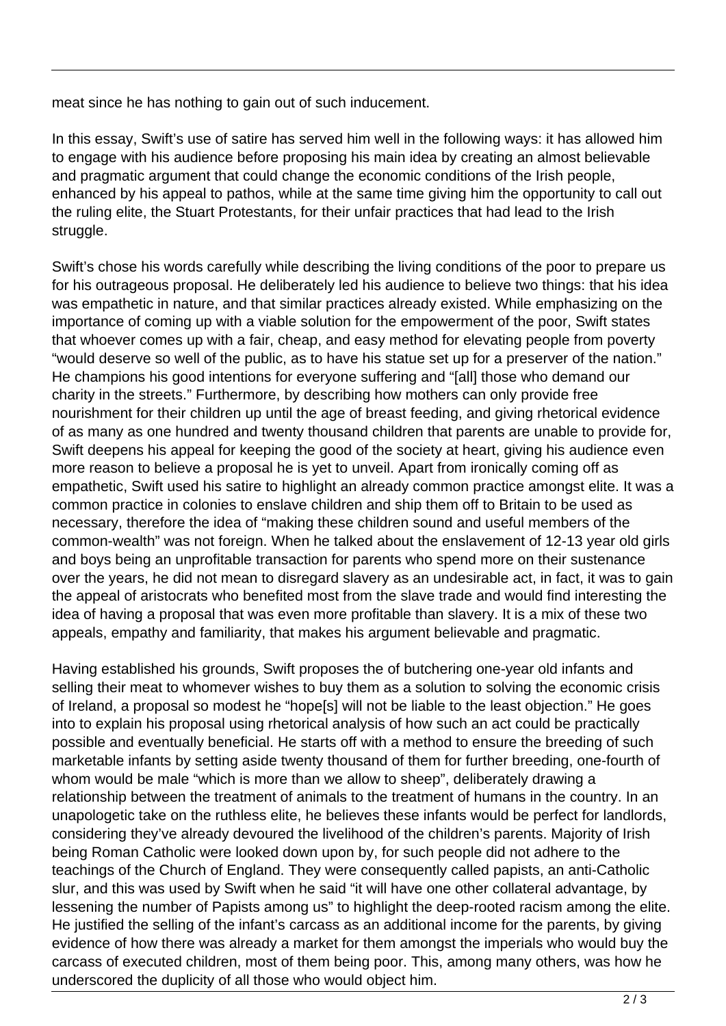meat since he has nothing to gain out of such inducement.

In this essay, Swift's use of satire has served him well in the following ways: it has allowed him to engage with his audience before proposing his main idea by creating an almost believable and pragmatic argument that could change the economic conditions of the Irish people, enhanced by his appeal to pathos, while at the same time giving him the opportunity to call out the ruling elite, the Stuart Protestants, for their unfair practices that had lead to the Irish struggle.

Swift's chose his words carefully while describing the living conditions of the poor to prepare us for his outrageous proposal. He deliberately led his audience to believe two things: that his idea was empathetic in nature, and that similar practices already existed. While emphasizing on the importance of coming up with a viable solution for the empowerment of the poor, Swift states that whoever comes up with a fair, cheap, and easy method for elevating people from poverty "would deserve so well of the public, as to have his statue set up for a preserver of the nation." He champions his good intentions for everyone suffering and "[all] those who demand our charity in the streets." Furthermore, by describing how mothers can only provide free nourishment for their children up until the age of breast feeding, and giving rhetorical evidence of as many as one hundred and twenty thousand children that parents are unable to provide for, Swift deepens his appeal for keeping the good of the society at heart, giving his audience even more reason to believe a proposal he is yet to unveil. Apart from ironically coming off as empathetic, Swift used his satire to highlight an already common practice amongst elite. It was a common practice in colonies to enslave children and ship them off to Britain to be used as necessary, therefore the idea of "making these children sound and useful members of the common-wealth" was not foreign. When he talked about the enslavement of 12-13 year old girls and boys being an unprofitable transaction for parents who spend more on their sustenance over the years, he did not mean to disregard slavery as an undesirable act, in fact, it was to gain the appeal of aristocrats who benefited most from the slave trade and would find interesting the idea of having a proposal that was even more profitable than slavery. It is a mix of these two appeals, empathy and familiarity, that makes his argument believable and pragmatic.

Having established his grounds, Swift proposes the of butchering one-year old infants and selling their meat to whomever wishes to buy them as a solution to solving the economic crisis of Ireland, a proposal so modest he "hope[s] will not be liable to the least objection." He goes into to explain his proposal using rhetorical analysis of how such an act could be practically possible and eventually beneficial. He starts off with a method to ensure the breeding of such marketable infants by setting aside twenty thousand of them for further breeding, one-fourth of whom would be male "which is more than we allow to sheep", deliberately drawing a relationship between the treatment of animals to the treatment of humans in the country. In an unapologetic take on the ruthless elite, he believes these infants would be perfect for landlords, considering they've already devoured the livelihood of the children's parents. Majority of Irish being Roman Catholic were looked down upon by, for such people did not adhere to the teachings of the Church of England. They were consequently called papists, an anti-Catholic slur, and this was used by Swift when he said "it will have one other collateral advantage, by lessening the number of Papists among us" to highlight the deep-rooted racism among the elite. He justified the selling of the infant's carcass as an additional income for the parents, by giving evidence of how there was already a market for them amongst the imperials who would buy the carcass of executed children, most of them being poor. This, among many others, was how he underscored the duplicity of all those who would object him.